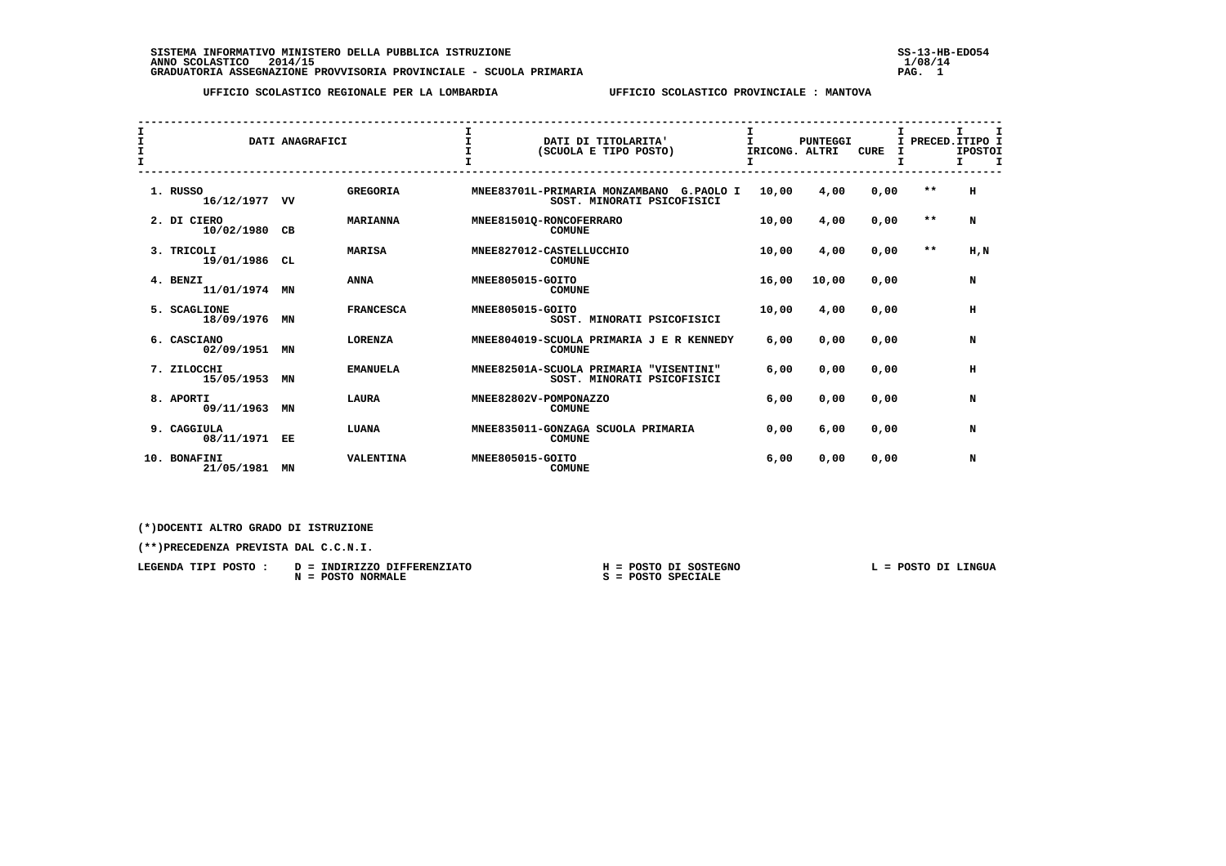SISTEMA INFORMATIVO MINISTERO DELLA PUBBLICA ISTRUZIONE<br>ANNO SCOLASTICO 2014/15<br>GRADUATORIA ASSEGNAZIONE PROVVISORIA PROVINCIALE - SCUOLA PRIMARIA **PROVINCIALE - SCUOLA PROVISORIA PAG. 1**08/14

 **UFFICIO SCOLASTICO REGIONALE PER LA LOMBARDIA UFFICIO SCOLASTICO PROVINCIALE : MANTOVA**

| I<br>I<br>$\mathbf{I}$ |                              | DATI ANAGRAFICI |                  | $\mathbf{I}$          | DATI DI TITOLARITA'<br>(SCUOLA E TIPO POSTO)                              | $\mathbf{I}$<br>IRICONG. ALTRI | <b>PUNTEGGI</b> | <b>CURE</b> |       | I.<br>I PRECED. ITIPO I<br><b>IPOSTOI</b><br>$\mathbf{T}$<br>Τ. |  |
|------------------------|------------------------------|-----------------|------------------|-----------------------|---------------------------------------------------------------------------|--------------------------------|-----------------|-------------|-------|-----------------------------------------------------------------|--|
|                        | 1. RUSSO<br>16/12/1977 VV    |                 | <b>GREGORIA</b>  |                       | MNEE83701L-PRIMARIA MONZAMBANO<br>G.PAOLO I<br>SOST. MINORATI PSICOFISICI | 10,00                          | 4,00            | 0,00        | $* *$ | н                                                               |  |
|                        | 2. DI CIERO<br>10/02/1980    | CB              | <b>MARIANNA</b>  |                       | MNEE81501Q-RONCOFERRARO<br><b>COMUNE</b>                                  | 10,00                          | 4,00            | 0,00        | $* *$ | N                                                               |  |
|                        | 3. TRICOLI<br>19/01/1986     | CL              | <b>MARISA</b>    |                       | MNEE827012-CASTELLUCCHIO<br><b>COMUNE</b>                                 | 10,00                          | 4,00            | 0,00        | $* *$ | H, N                                                            |  |
|                        | 4. BENZI<br>11/01/1974       | МN              | <b>ANNA</b>      | MNEE805015-GOITO      | <b>COMUNE</b>                                                             | 16,00                          | 10,00           | 0.00        |       | N                                                               |  |
|                        | 5. SCAGLIONE<br>18/09/1976   | MN              | <b>FRANCESCA</b> | MNEE805015-GOITO      | SOST. MINORATI PSICOFISICI                                                | 10,00                          | 4,00            | 0.00        |       | н                                                               |  |
|                        | 6. CASCIANO<br>02/09/1951    | MN              | <b>LORENZA</b>   |                       | MNEE804019-SCUOLA PRIMARIA J E R KENNEDY<br><b>COMUNE</b>                 | 6,00                           | 0,00            | 0,00        |       | N                                                               |  |
|                        | 7. ZILOCCHI<br>15/05/1953    | MN              | <b>EMANUELA</b>  |                       | MNEE82501A-SCUOLA PRIMARIA "VISENTINI"<br>SOST. MINORATI PSICOFISICI      | 6,00                           | 0,00            | 0,00        |       | н                                                               |  |
|                        | 8. APORTI<br>09/11/1963      | ΜN              | <b>LAURA</b>     | MNEE82802V-POMPONAZZO | <b>COMUNE</b>                                                             | 6,00                           | 0,00            | 0,00        |       | N                                                               |  |
|                        | 9. CAGGIULA<br>08/11/1971 EE |                 | LUANA            |                       | MNEE835011-GONZAGA SCUOLA PRIMARIA<br><b>COMUNE</b>                       | 0,00                           | 6,00            | 0,00        |       | N                                                               |  |
|                        | 10. BONAFINI<br>21/05/1981   | MN              | <b>VALENTINA</b> | MNEE805015-GOITO      | <b>COMUNE</b>                                                             | 6,00                           | 0,00            | 0,00        |       | N                                                               |  |

 **(\*)DOCENTI ALTRO GRADO DI ISTRUZIONE**

 **(\*\*)PRECEDENZA PREVISTA DAL C.C.N.I.**

| LEGENDA TIPI POSTO : | D = INDIRIZZO DIFFERENZIATO   | H = POSTO DI SOSTEGNO | POSTO DI LINGUA |  |  |
|----------------------|-------------------------------|-----------------------|-----------------|--|--|
|                      | <b>POSTO NORMALE</b><br>$N =$ | $S = POSTO SPECIALE$  |                 |  |  |